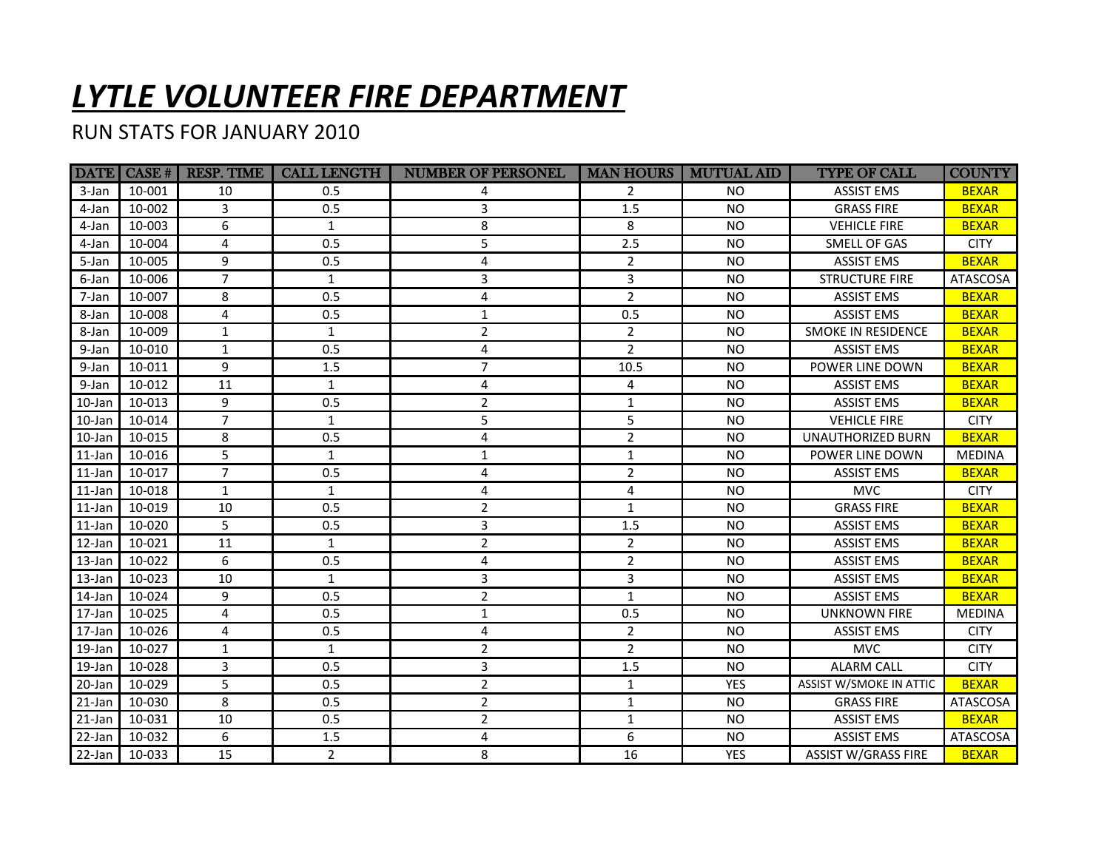## *LYTLE VOLUNTEER FIRE DEPARTMENT*

## RUN STATS FOR JANUARY 2010

|           |        | DATE CASE #   RESP. TIME | <b>CALL LENGTH</b> | <b>NUMBER OF PERSONEL</b> |                | <b>MAN HOURS   MUTUAL AID</b> | <b>TYPE OF CALL</b>        | <b>COUNTY</b>   |
|-----------|--------|--------------------------|--------------------|---------------------------|----------------|-------------------------------|----------------------------|-----------------|
| 3-Jan     | 10-001 | 10                       | 0.5                | 4                         | 2              | NO.                           | <b>ASSIST EMS</b>          | <b>BEXAR</b>    |
| 4-Jan     | 10-002 | 3                        | 0.5                | 3                         | 1.5            | <b>NO</b>                     | <b>GRASS FIRE</b>          | <b>BEXAR</b>    |
| 4-Jan     | 10-003 | 6                        | $\mathbf{1}$       | 8                         | 8              | <b>NO</b>                     | <b>VEHICLE FIRE</b>        | <b>BEXAR</b>    |
| 4-Jan     | 10-004 | 4                        | 0.5                | 5                         | 2.5            | <b>NO</b>                     | SMELL OF GAS               | <b>CITY</b>     |
| 5-Jan     | 10-005 | 9                        | 0.5                | $\overline{4}$            | $\overline{2}$ | <b>NO</b>                     | <b>ASSIST EMS</b>          | <b>BEXAR</b>    |
| 6-Jan     | 10-006 | $\overline{7}$           | $\mathbf{1}$       | 3                         | $\overline{3}$ | <b>NO</b>                     | <b>STRUCTURE FIRE</b>      | <b>ATASCOSA</b> |
| 7-Jan     | 10-007 | 8                        | 0.5                | 4                         | $\overline{2}$ | <b>NO</b>                     | <b>ASSIST EMS</b>          | <b>BEXAR</b>    |
| 8-Jan     | 10-008 | 4                        | 0.5                | 1                         | 0.5            | <b>NO</b>                     | <b>ASSIST EMS</b>          | <b>BEXAR</b>    |
| 8-Jan     | 10-009 | $\mathbf{1}$             | $\mathbf{1}$       | $\overline{2}$            | $\overline{2}$ | <b>NO</b>                     | SMOKE IN RESIDENCE         | <b>BEXAR</b>    |
| 9-Jan     | 10-010 | $\mathbf{1}$             | 0.5                | 4                         | $\overline{2}$ | <b>NO</b>                     | <b>ASSIST EMS</b>          | <b>BEXAR</b>    |
| 9-Jan     | 10-011 | 9                        | 1.5                | $\overline{7}$            | 10.5           | <b>NO</b>                     | POWER LINE DOWN            | <b>BEXAR</b>    |
| 9-Jan     | 10-012 | 11                       | $\mathbf{1}$       | 4                         | 4              | <b>NO</b>                     | <b>ASSIST EMS</b>          | <b>BEXAR</b>    |
| 10-Jan    | 10-013 | 9                        | 0.5                | $\overline{2}$            | $\mathbf{1}$   | <b>NO</b>                     | <b>ASSIST EMS</b>          | <b>BEXAR</b>    |
| 10-Jan    | 10-014 | $\overline{7}$           | $\mathbf{1}$       | 5                         | 5              | <b>NO</b>                     | <b>VEHICLE FIRE</b>        | <b>CITY</b>     |
| 10-Jan    | 10-015 | 8                        | 0.5                | 4                         | $\overline{2}$ | <b>NO</b>                     | <b>UNAUTHORIZED BURN</b>   | <b>BEXAR</b>    |
| 11-Jan    | 10-016 | 5                        | $\mathbf{1}$       | $\mathbf{1}$              | $\mathbf{1}$   | <b>NO</b>                     | POWER LINE DOWN            | <b>MEDINA</b>   |
| 11-Jan    | 10-017 | $\overline{7}$           | 0.5                | 4                         | $\overline{2}$ | <b>NO</b>                     | <b>ASSIST EMS</b>          | <b>BEXAR</b>    |
| $11$ -Jan | 10-018 | $\mathbf{1}$             | $\mathbf{1}$       | $\overline{4}$            | $\overline{4}$ | <b>NO</b>                     | <b>MVC</b>                 | <b>CITY</b>     |
| 11-Jan    | 10-019 | 10                       | 0.5                | $\overline{2}$            | $\mathbf{1}$   | <b>NO</b>                     | <b>GRASS FIRE</b>          | <b>BEXAR</b>    |
| 11-Jan    | 10-020 | 5                        | 0.5                | 3                         | 1.5            | <b>NO</b>                     | <b>ASSIST EMS</b>          | <b>BEXAR</b>    |
| 12-Jan    | 10-021 | 11                       | $\mathbf{1}$       | $\overline{2}$            | $\overline{2}$ | <b>NO</b>                     | <b>ASSIST EMS</b>          | <b>BEXAR</b>    |
| 13-Jan    | 10-022 | 6                        | 0.5                | 4                         | $\overline{2}$ | <b>NO</b>                     | <b>ASSIST EMS</b>          | <b>BEXAR</b>    |
| 13-Jan    | 10-023 | 10                       | $\mathbf{1}$       | 3                         | 3              | <b>NO</b>                     | <b>ASSIST EMS</b>          | <b>BEXAR</b>    |
| 14-Jan    | 10-024 | 9                        | 0.5                | $\overline{2}$            | $\mathbf{1}$   | <b>NO</b>                     | <b>ASSIST EMS</b>          | <b>BEXAR</b>    |
| 17-Jan    | 10-025 | 4                        | 0.5                | $\mathbf{1}$              | 0.5            | <b>NO</b>                     | <b>UNKNOWN FIRE</b>        | <b>MEDINA</b>   |
| 17-Jan    | 10-026 | 4                        | 0.5                | 4                         | $\overline{2}$ | <b>NO</b>                     | <b>ASSIST EMS</b>          | <b>CITY</b>     |
| 19-Jan    | 10-027 | $\mathbf{1}$             | $\mathbf{1}$       | $\overline{2}$            | $\overline{2}$ | <b>NO</b>                     | <b>MVC</b>                 | <b>CITY</b>     |
| 19-Jan    | 10-028 | 3                        | 0.5                | 3                         | 1.5            | <b>NO</b>                     | <b>ALARM CALL</b>          | <b>CITY</b>     |
| 20-Jan    | 10-029 | $\overline{5}$           | 0.5                | $\overline{2}$            | $\mathbf{1}$   | <b>YES</b>                    | ASSIST W/SMOKE IN ATTIC    | <b>BEXAR</b>    |
| 21-Jan    | 10-030 | 8                        | 0.5                | $\overline{2}$            | $\mathbf{1}$   | <b>NO</b>                     | <b>GRASS FIRE</b>          | ATASCOSA        |
| 21-Jan    | 10-031 | 10                       | 0.5                | $\overline{2}$            | $1\,$          | <b>NO</b>                     | <b>ASSIST EMS</b>          | <b>BEXAR</b>    |
| 22-Jan    | 10-032 | 6                        | 1.5                | 4                         | 6              | NO.                           | <b>ASSIST EMS</b>          | ATASCOSA        |
| $22$ -Jan | 10-033 | 15                       | $\overline{2}$     | 8                         | 16             | <b>YES</b>                    | <b>ASSIST W/GRASS FIRE</b> | <b>BEXAR</b>    |